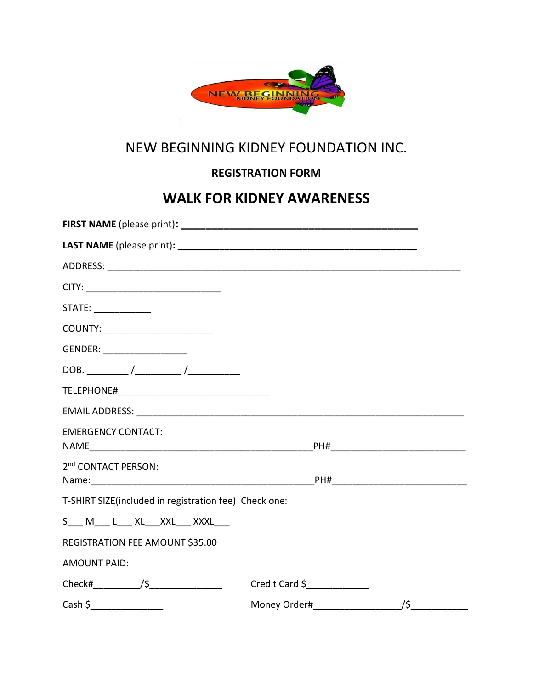

## NEW BEGINNING KIDNEY FOUNDATION INC.

## **REGISTRATION FORM**

## **WALK FOR KIDNEY AWARENESS**

| STATE:                                                |                |  |
|-------------------------------------------------------|----------------|--|
| COUNTY: _________________________                     |                |  |
| GENDER: ____________________                          |                |  |
|                                                       |                |  |
|                                                       |                |  |
|                                                       |                |  |
| <b>EMERGENCY CONTACT:</b>                             |                |  |
| 2 <sup>nd</sup> CONTACT PERSON:                       |                |  |
| T-SHIRT SIZE(included in registration fee) Check one: |                |  |
| S___ M____ L___ XL___XXL___ XXXL___                   |                |  |
| REGISTRATION FEE AMOUNT \$35.00                       |                |  |
| <b>AMOUNT PAID:</b>                                   |                |  |
|                                                       | Credit Card \$ |  |
|                                                       | /\$            |  |